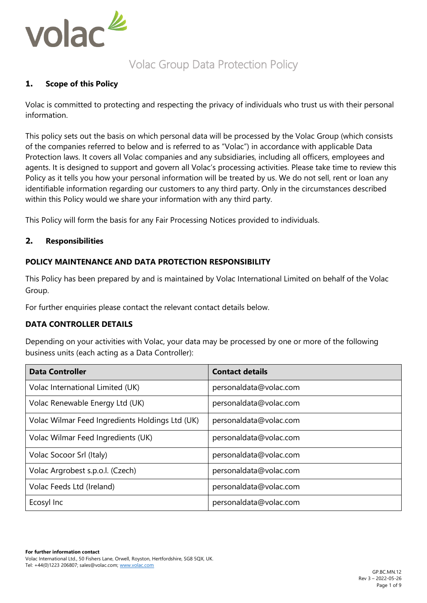

# Volac Group Data Protection Policy

# **1. Scope of this Policy**

Volac is committed to protecting and respecting the privacy of individuals who trust us with their personal information.

This policy sets out the basis on which personal data will be processed by the Volac Group (which consists of the companies referred to below and is referred to as "Volac") in accordance with applicable Data Protection laws. It covers all Volac companies and any subsidiaries, including all officers, employees and agents. It is designed to support and govern all Volac's processing activities. Please take time to review this Policy as it tells you how your personal information will be treated by us. We do not sell, rent or loan any identifiable information regarding our customers to any third party. Only in the circumstances described within this Policy would we share your information with any third party.

This Policy will form the basis for any Fair Processing Notices provided to individuals.

## **2. Responsibilities**

# **POLICY MAINTENANCE AND DATA PROTECTION RESPONSIBILITY**

This Policy has been prepared by and is maintained by Volac International Limited on behalf of the Volac Group.

For further enquiries please contact the relevant contact details below.

#### **DATA CONTROLLER DETAILS**

Depending on your activities with Volac, your data may be processed by one or more of the following business units (each acting as a Data Controller):

| <b>Data Controller</b>                          | <b>Contact details</b> |
|-------------------------------------------------|------------------------|
| Volac International Limited (UK)                | personaldata@volac.com |
| Volac Renewable Energy Ltd (UK)                 | personaldata@volac.com |
| Volac Wilmar Feed Ingredients Holdings Ltd (UK) | personaldata@volac.com |
| Volac Wilmar Feed Ingredients (UK)              | personaldata@volac.com |
| Volac Socoor Srl (Italy)                        | personaldata@volac.com |
| Volac Argrobest s.p.o.l. (Czech)                | personaldata@volac.com |
| Volac Feeds Ltd (Ireland)                       | personaldata@volac.com |
| Ecosyl Inc                                      | personaldata@volac.com |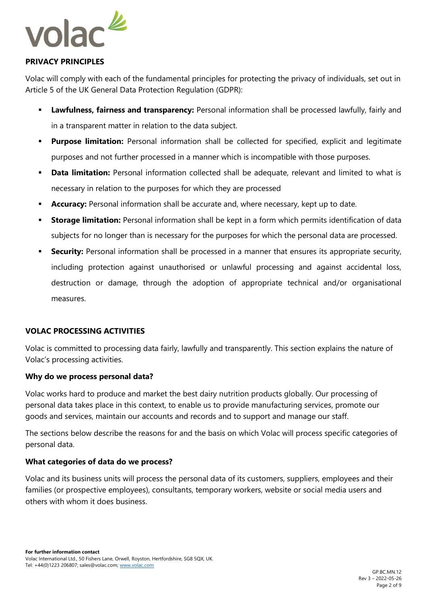

# **PRIVACY PRINCIPLES**

Volac will comply with each of the fundamental principles for protecting the privacy of individuals, set out in Article 5 of the UK General Data Protection Regulation (GDPR):

- **Example 15 Ferral Index Servi Ensymber 2014 Lawfulness, fairly and servial information shall be processed lawfully, fairly and** in a transparent matter in relation to the data subject.
- **· Purpose limitation:** Personal information shall be collected for specified, explicit and legitimate purposes and not further processed in a manner which is incompatible with those purposes.
- **Data limitation:** Personal information collected shall be adequate, relevant and limited to what is necessary in relation to the purposes for which they are processed
- **Accuracy:** Personal information shall be accurate and, where necessary, kept up to date.
- **Storage limitation:** Personal information shall be kept in a form which permits identification of data subjects for no longer than is necessary for the purposes for which the personal data are processed.
- **Security:** Personal information shall be processed in a manner that ensures its appropriate security, including protection against unauthorised or unlawful processing and against accidental loss, destruction or damage, through the adoption of appropriate technical and/or organisational measures.

# **VOLAC PROCESSING ACTIVITIES**

Volac is committed to processing data fairly, lawfully and transparently. This section explains the nature of Volac's processing activities.

# **Why do we process personal data?**

Volac works hard to produce and market the best dairy nutrition products globally. Our processing of personal data takes place in this context, to enable us to provide manufacturing services, promote our goods and services, maintain our accounts and records and to support and manage our staff.

The sections below describe the reasons for and the basis on which Volac will process specific categories of personal data.

#### **What categories of data do we process?**

Volac and its business units will process the personal data of its customers, suppliers, employees and their families (or prospective employees), consultants, temporary workers, website or social media users and others with whom it does business.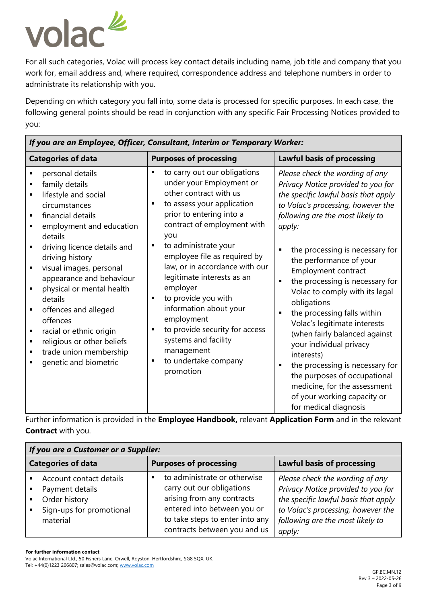

For all such categories, Volac will process key contact details including name, job title and company that you work for, email address and, where required, correspondence address and telephone numbers in order to administrate its relationship with you.

Depending on which category you fall into, some data is processed for specific purposes. In each case, the following general points should be read in conjunction with any specific Fair Processing Notices provided to you:

| If you are an Employee, Officer, Consultant, Interim or Temporary Worker:                                                                                                                                                                                                                                                                                                                                                                     |                                                                                                                                                                                                                                                                                                                                                                                                                                                                                                                                |                                                                                                                                                                                                                                                                                                                                                                                                                                                                                                                                                                                                                                                                                                            |
|-----------------------------------------------------------------------------------------------------------------------------------------------------------------------------------------------------------------------------------------------------------------------------------------------------------------------------------------------------------------------------------------------------------------------------------------------|--------------------------------------------------------------------------------------------------------------------------------------------------------------------------------------------------------------------------------------------------------------------------------------------------------------------------------------------------------------------------------------------------------------------------------------------------------------------------------------------------------------------------------|------------------------------------------------------------------------------------------------------------------------------------------------------------------------------------------------------------------------------------------------------------------------------------------------------------------------------------------------------------------------------------------------------------------------------------------------------------------------------------------------------------------------------------------------------------------------------------------------------------------------------------------------------------------------------------------------------------|
| <b>Categories of data</b>                                                                                                                                                                                                                                                                                                                                                                                                                     | <b>Purposes of processing</b>                                                                                                                                                                                                                                                                                                                                                                                                                                                                                                  | <b>Lawful basis of processing</b>                                                                                                                                                                                                                                                                                                                                                                                                                                                                                                                                                                                                                                                                          |
| personal details<br>family details<br>lifestyle and social<br>circumstances<br>financial details<br>employment and education<br>details<br>driving licence details and<br>driving history<br>visual images, personal<br>appearance and behaviour<br>physical or mental health<br>details<br>offences and alleged<br>offences<br>racial or ethnic origin<br>٠<br>religious or other beliefs<br>trade union membership<br>genetic and biometric | to carry out our obligations<br>٠<br>under your Employment or<br>other contract with us<br>to assess your application<br>prior to entering into a<br>contract of employment with<br>you<br>to administrate your<br>employee file as required by<br>law, or in accordance with our<br>legitimate interests as an<br>employer<br>to provide you with<br>$\blacksquare$<br>information about your<br>employment<br>to provide security for access<br>٠<br>systems and facility<br>management<br>to undertake company<br>promotion | Please check the wording of any<br>Privacy Notice provided to you for<br>the specific lawful basis that apply<br>to Volac's processing, however the<br>following are the most likely to<br>apply:<br>the processing is necessary for<br>Б<br>the performance of your<br>Employment contract<br>the processing is necessary for<br>$\blacksquare$<br>Volac to comply with its legal<br>obligations<br>the processing falls within<br>Volac's legitimate interests<br>(when fairly balanced against<br>your individual privacy<br>interests)<br>the processing is necessary for<br>п<br>the purposes of occupational<br>medicine, for the assessment<br>of your working capacity or<br>for medical diagnosis |

Further information is provided in the **Employee Handbook,** relevant **Application Form** and in the relevant **Contract** with you.

| If you are a Customer or a Supplier:                                                                                  |                                                                                                                                                                                           |                                                                                                                                                                                                   |
|-----------------------------------------------------------------------------------------------------------------------|-------------------------------------------------------------------------------------------------------------------------------------------------------------------------------------------|---------------------------------------------------------------------------------------------------------------------------------------------------------------------------------------------------|
| <b>Categories of data</b>                                                                                             | <b>Purposes of processing</b>                                                                                                                                                             | <b>Lawful basis of processing</b>                                                                                                                                                                 |
| Account contact details<br>Payment details<br>$\blacksquare$<br>Order history<br>Sign-ups for promotional<br>material | to administrate or otherwise<br>carry out our obligations<br>arising from any contracts<br>entered into between you or<br>to take steps to enter into any<br>contracts between you and us | Please check the wording of any<br>Privacy Notice provided to you for<br>the specific lawful basis that apply<br>to Volac's processing, however the<br>following are the most likely to<br>apply: |

**For further information contact** 

Volac International Ltd., 50 Fishers Lane, Orwell, Royston, Hertfordshire, SG8 5QX, UK. Tel: +44(0)1223 206807; sales@volac.com[; www.volac.com](http://www.volac.com/)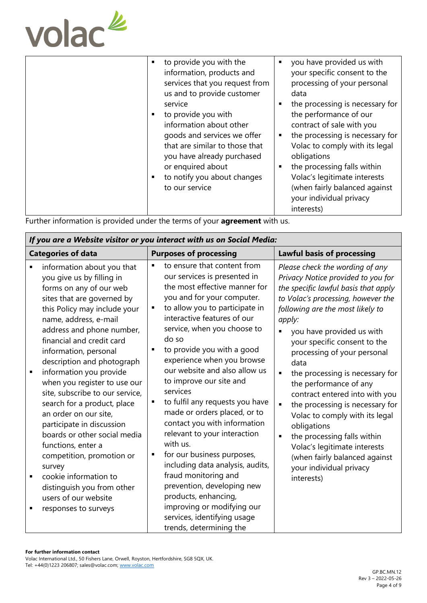

Further information is provided under the terms of your **agreement** with us.

| If you are a Website visitor or you interact with us on Social Media:                                                                                                                                                                                                                                                                                                                                                                                                                                                                                                                                                                                                             |                                                                                                                                                                                                                                                                                                                                                                                                                                                                                                                                                                                                                                                                                                                                                                          |                                                                                                                                                                                                                                                                                                                                                                                                                                                                                                                                                                                                                                                                                                           |
|-----------------------------------------------------------------------------------------------------------------------------------------------------------------------------------------------------------------------------------------------------------------------------------------------------------------------------------------------------------------------------------------------------------------------------------------------------------------------------------------------------------------------------------------------------------------------------------------------------------------------------------------------------------------------------------|--------------------------------------------------------------------------------------------------------------------------------------------------------------------------------------------------------------------------------------------------------------------------------------------------------------------------------------------------------------------------------------------------------------------------------------------------------------------------------------------------------------------------------------------------------------------------------------------------------------------------------------------------------------------------------------------------------------------------------------------------------------------------|-----------------------------------------------------------------------------------------------------------------------------------------------------------------------------------------------------------------------------------------------------------------------------------------------------------------------------------------------------------------------------------------------------------------------------------------------------------------------------------------------------------------------------------------------------------------------------------------------------------------------------------------------------------------------------------------------------------|
| <b>Categories of data</b>                                                                                                                                                                                                                                                                                                                                                                                                                                                                                                                                                                                                                                                         | <b>Purposes of processing</b>                                                                                                                                                                                                                                                                                                                                                                                                                                                                                                                                                                                                                                                                                                                                            | <b>Lawful basis of processing</b>                                                                                                                                                                                                                                                                                                                                                                                                                                                                                                                                                                                                                                                                         |
| information about you that<br>you give us by filling in<br>forms on any of our web<br>sites that are governed by<br>this Policy may include your<br>name, address, e-mail<br>address and phone number,<br>financial and credit card<br>information, personal<br>description and photograph<br>information you provide<br>when you register to use our<br>site, subscribe to our service,<br>search for a product, place<br>an order on our site,<br>participate in discussion<br>boards or other social media<br>functions, enter a<br>competition, promotion or<br>survey<br>cookie information to<br>distinguish you from other<br>users of our website<br>responses to surveys | to ensure that content from<br>our services is presented in<br>the most effective manner for<br>you and for your computer.<br>to allow you to participate in<br>٠<br>interactive features of our<br>service, when you choose to<br>do so<br>to provide you with a good<br>٠<br>experience when you browse<br>our website and also allow us<br>to improve our site and<br>services<br>to fulfil any requests you have<br>made or orders placed, or to<br>contact you with information<br>relevant to your interaction<br>with us.<br>for our business purposes,<br>including data analysis, audits,<br>fraud monitoring and<br>prevention, developing new<br>products, enhancing,<br>improving or modifying our<br>services, identifying usage<br>trends, determining the | Please check the wording of any<br>Privacy Notice provided to you for<br>the specific lawful basis that apply<br>to Volac's processing, however the<br>following are the most likely to<br>apply:<br>you have provided us with<br>$\blacksquare$<br>your specific consent to the<br>processing of your personal<br>data<br>$\blacksquare$<br>the processing is necessary for<br>the performance of any<br>contract entered into with you<br>the processing is necessary for<br>$\blacksquare$<br>Volac to comply with its legal<br>obligations<br>the processing falls within<br>$\blacksquare$<br>Volac's legitimate interests<br>(when fairly balanced against<br>your individual privacy<br>interests) |

**For further information contact** 

Volac International Ltd., 50 Fishers Lane, Orwell, Royston, Hertfordshire, SG8 5QX, UK. Tel: +44(0)1223 206807; sales@volac.com[; www.volac.com](http://www.volac.com/)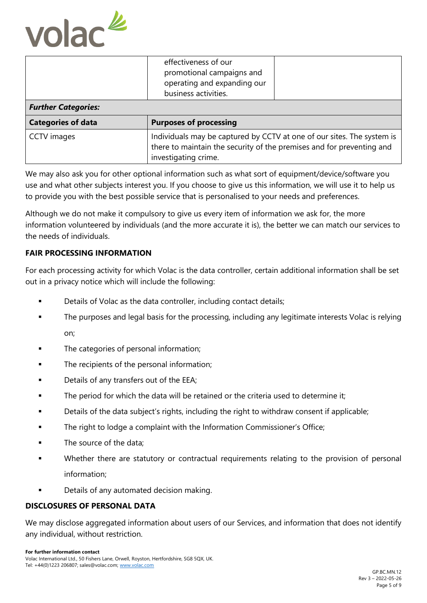

| <b>Further Categories:</b> | effectiveness of our<br>promotional campaigns and<br>operating and expanding our<br>business activities.                                                                |  |
|----------------------------|-------------------------------------------------------------------------------------------------------------------------------------------------------------------------|--|
|                            |                                                                                                                                                                         |  |
| <b>Categories of data</b>  | <b>Purposes of processing</b>                                                                                                                                           |  |
| <b>CCTV</b> images         | Individuals may be captured by CCTV at one of our sites. The system is<br>there to maintain the security of the premises and for preventing and<br>investigating crime. |  |

We may also ask you for other optional information such as what sort of equipment/device/software you use and what other subjects interest you. If you choose to give us this information, we will use it to help us to provide you with the best possible service that is personalised to your needs and preferences.

Although we do not make it compulsory to give us every item of information we ask for, the more information volunteered by individuals (and the more accurate it is), the better we can match our services to the needs of individuals.

# **FAIR PROCESSING INFORMATION**

For each processing activity for which Volac is the data controller, certain additional information shall be set out in a privacy notice which will include the following:

- Details of Volac as the data controller, including contact details;
- **•** The purposes and legal basis for the processing, including any legitimate interests Volac is relying on;
- The categories of personal information;
- The recipients of the personal information;
- Details of any transfers out of the EEA;
- **•** The period for which the data will be retained or the criteria used to determine it:
- **•** Details of the data subject's rights, including the right to withdraw consent if applicable;
- The right to lodge a complaint with the Information Commissioner's Office;
- The source of the data;
- Whether there are statutory or contractual requirements relating to the provision of personal information;
- Details of any automated decision making.

#### **DISCLOSURES OF PERSONAL DATA**

We may disclose aggregated information about users of our Services, and information that does not identify any individual, without restriction.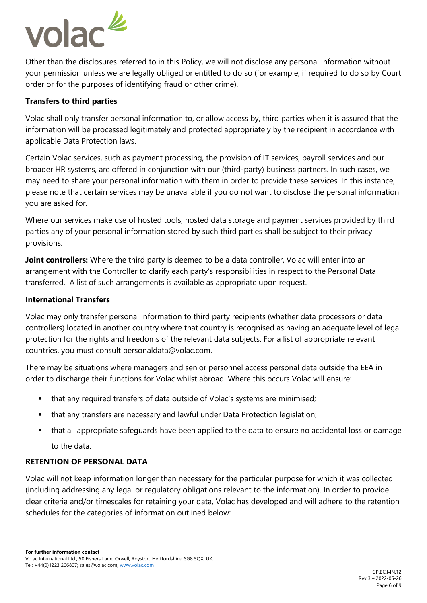

Other than the disclosures referred to in this Policy, we will not disclose any personal information without your permission unless we are legally obliged or entitled to do so (for example, if required to do so by Court order or for the purposes of identifying fraud or other crime).

#### **Transfers to third parties**

Volac shall only transfer personal information to, or allow access by, third parties when it is assured that the information will be processed legitimately and protected appropriately by the recipient in accordance with applicable Data Protection laws.

Certain Volac services, such as payment processing, the provision of IT services, payroll services and our broader HR systems, are offered in conjunction with our (third-party) business partners. In such cases, we may need to share your personal information with them in order to provide these services. In this instance, please note that certain services may be unavailable if you do not want to disclose the personal information you are asked for.

Where our services make use of hosted tools, hosted data storage and payment services provided by third parties any of your personal information stored by such third parties shall be subject to their privacy provisions.

**Joint controllers:** Where the third party is deemed to be a data controller, Volac will enter into an arrangement with the Controller to clarify each party's responsibilities in respect to the Personal Data transferred. A list of such arrangements is available as appropriate upon request.

## **International Transfers**

Volac may only transfer personal information to third party recipients (whether data processors or data controllers) located in another country where that country is recognised as having an adequate level of legal protection for the rights and freedoms of the relevant data subjects. For a list of appropriate relevant countries, you must consult personaldata@volac.com.

There may be situations where managers and senior personnel access personal data outside the EEA in order to discharge their functions for Volac whilst abroad. Where this occurs Volac will ensure:

- that any required transfers of data outside of Volac's systems are minimised;
- that any transfers are necessary and lawful under Data Protection legislation;
- that all appropriate safeguards have been applied to the data to ensure no accidental loss or damage to the data.

#### **RETENTION OF PERSONAL DATA**

Volac will not keep information longer than necessary for the particular purpose for which it was collected (including addressing any legal or regulatory obligations relevant to the information). In order to provide clear criteria and/or timescales for retaining your data, Volac has developed and will adhere to the retention schedules for the categories of information outlined below: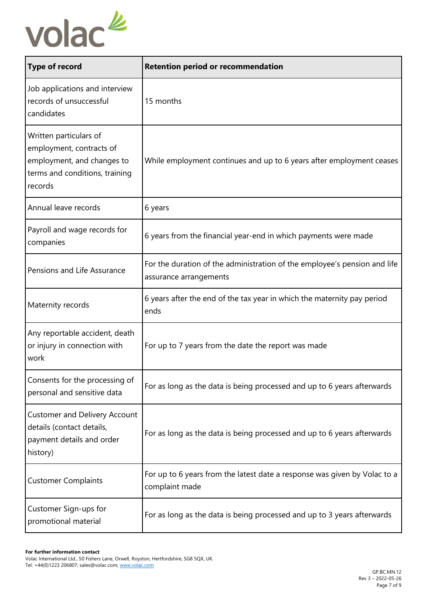

| <b>Type of record</b>                                                                                                         | <b>Retention period or recommendation</b>                                                           |
|-------------------------------------------------------------------------------------------------------------------------------|-----------------------------------------------------------------------------------------------------|
| Job applications and interview<br>records of unsuccessful<br>candidates                                                       | 15 months                                                                                           |
| Written particulars of<br>employment, contracts of<br>employment, and changes to<br>terms and conditions, training<br>records | While employment continues and up to 6 years after employment ceases                                |
| Annual leave records                                                                                                          | 6 years                                                                                             |
| Payroll and wage records for<br>companies                                                                                     | 6 years from the financial year-end in which payments were made                                     |
| Pensions and Life Assurance                                                                                                   | For the duration of the administration of the employee's pension and life<br>assurance arrangements |
| Maternity records                                                                                                             | 6 years after the end of the tax year in which the maternity pay period<br>ends                     |
| Any reportable accident, death<br>or injury in connection with<br>work                                                        | For up to 7 years from the date the report was made                                                 |
| Consents for the processing of<br>personal and sensitive data                                                                 | For as long as the data is being processed and up to 6 years afterwards                             |
| <b>Customer and Delivery Account</b><br>details (contact details,<br>payment details and order<br>history)                    | For as long as the data is being processed and up to 6 years afterwards                             |
| <b>Customer Complaints</b>                                                                                                    | For up to 6 years from the latest date a response was given by Volac to a<br>complaint made         |
| Customer Sign-ups for<br>promotional material                                                                                 | For as long as the data is being processed and up to 3 years afterwards                             |

Volac International Ltd., 50 Fishers Lane, Orwell, Royston, Hertfordshire, SG8 5QX, UK. Tel: +44(0)1223 206807; sales@volac.com[; www.volac.com](http://www.volac.com/)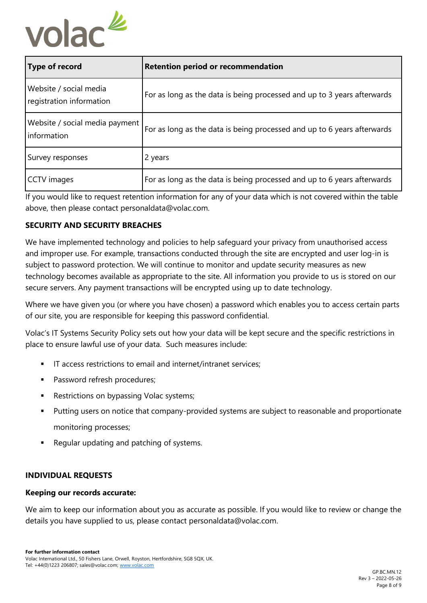

| Type of record                                     | <b>Retention period or recommendation</b>                               |
|----------------------------------------------------|-------------------------------------------------------------------------|
| Website / social media<br>registration information | For as long as the data is being processed and up to 3 years afterwards |
| Website / social media payment<br>information      | For as long as the data is being processed and up to 6 years afterwards |
| Survey responses                                   | 2 years                                                                 |
| CCTV images                                        | For as long as the data is being processed and up to 6 years afterwards |

If you would like to request retention information for any of your data which is not covered within the table above, then please contact personaldata@volac.com.

# **SECURITY AND SECURITY BREACHES**

We have implemented technology and policies to help safeguard your privacy from unauthorised access and improper use. For example, transactions conducted through the site are encrypted and user log-in is subject to password protection. We will continue to monitor and update security measures as new technology becomes available as appropriate to the site. All information you provide to us is stored on our secure servers. Any payment transactions will be encrypted using up to date technology.

Where we have given you (or where you have chosen) a password which enables you to access certain parts of our site, you are responsible for keeping this password confidential.

Volac's IT Systems Security Policy sets out how your data will be kept secure and the specific restrictions in place to ensure lawful use of your data. Such measures include:

- IT access restrictions to email and internet/intranet services;
- Password refresh procedures;
- Restrictions on bypassing Volac systems;
- Putting users on notice that company-provided systems are subject to reasonable and proportionate monitoring processes;
- Regular updating and patching of systems.

# **INDIVIDUAL REQUESTS**

#### **Keeping our records accurate:**

We aim to keep our information about you as accurate as possible. If you would like to review or change the details you have supplied to us, please contact personaldata@volac.com.